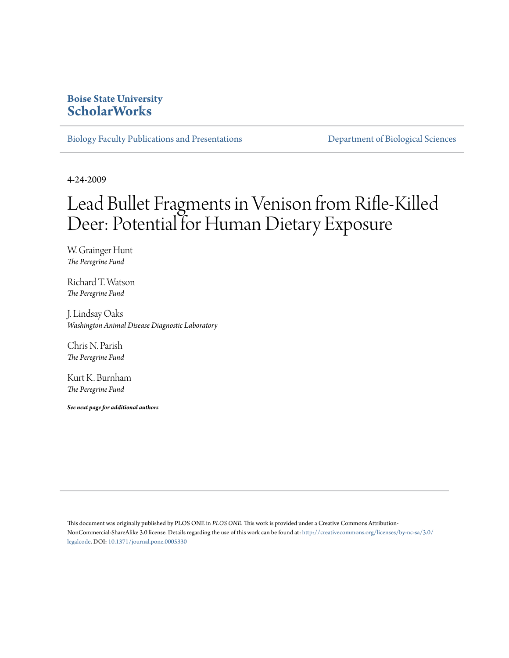## **Boise State University [ScholarWorks](https://scholarworks.boisestate.edu)**

[Biology Faculty Publications and Presentations](https://scholarworks.boisestate.edu/bio_facpubs) **[Department of Biological Sciences](https://scholarworks.boisestate.edu/biosciences)** 

4-24-2009

# Lead Bullet Fragments in Venison from Rifle-Killed Deer: Potential for Human Dietary Exposure

W. Grainger Hunt *The Peregrine Fund*

Richard T. Watson *The Peregrine Fund*

J. Lindsay Oaks *Washington Animal Disease Diagnostic Laboratory*

Chris N. Parish *The Peregrine Fund*

Kurt K. Burnham *The Peregrine Fund*

*See next page for additional authors*

This document was originally published by PLOS ONE in *PLOS ONE*. This work is provided under a Creative Commons Attribution-NonCommercial-ShareAlike 3.0 license. Details regarding the use of this work can be found at: [http://creativecommons.org/licenses/by-nc-sa/3.0/](http://creativecommons.org/licenses/by-nc-sa/3.0/legalcode) [legalcode](http://creativecommons.org/licenses/by-nc-sa/3.0/legalcode). DOI: [10.1371/journal.pone.0005330](http://dx.doi.org/10.1371/journal.pone.0005330)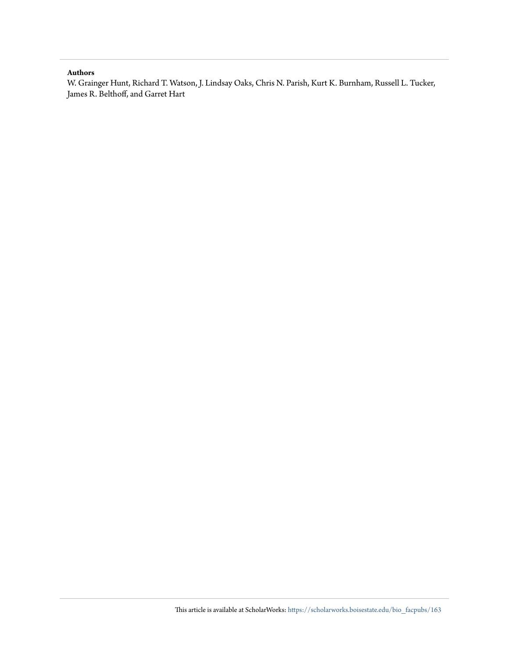#### **Authors**

W. Grainger Hunt, Richard T. Watson, J. Lindsay Oaks, Chris N. Parish, Kurt K. Burnham, Russell L. Tucker, James R. Belthoff, and Garret Hart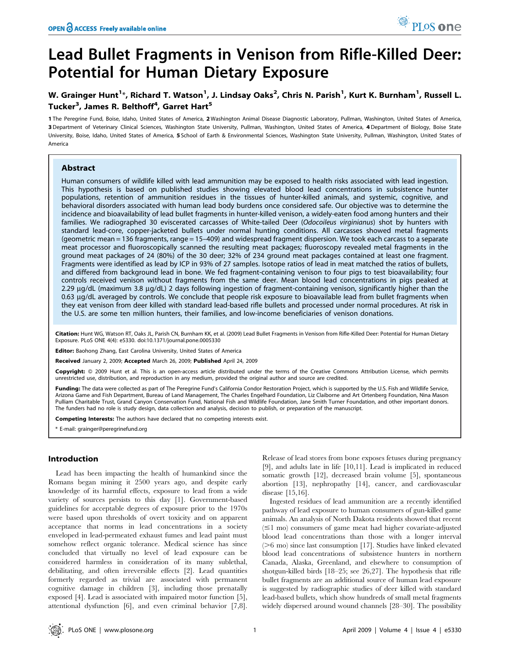## Lead Bullet Fragments in Venison from Rifle-Killed Deer: Potential for Human Dietary Exposure

### W. Grainger Hunt<sup>1</sup>\*, Richard T. Watson<sup>1</sup>, J. Lindsay Oaks<sup>2</sup>, Chris N. Parish<sup>1</sup>, Kurt K. Burnham<sup>1</sup>, Russell L. Tucker<sup>3</sup>, James R. Belthoff<sup>4</sup>, Garret Hart<sup>5</sup>

1 The Peregrine Fund, Boise, Idaho, United States of America, 2 Washington Animal Disease Diagnostic Laboratory, Pullman, Washington, United States of America, 3 Department of Veterinary Clinical Sciences, Washington State University, Pullman, Washington, United States of America, 4 Department of Biology, Boise State University, Boise, Idaho, United States of America, 5 School of Earth & Environmental Sciences, Washington State University, Pullman, Washington, United States of America

#### Abstract

Human consumers of wildlife killed with lead ammunition may be exposed to health risks associated with lead ingestion. This hypothesis is based on published studies showing elevated blood lead concentrations in subsistence hunter populations, retention of ammunition residues in the tissues of hunter-killed animals, and systemic, cognitive, and behavioral disorders associated with human lead body burdens once considered safe. Our objective was to determine the incidence and bioavailability of lead bullet fragments in hunter-killed venison, a widely-eaten food among hunters and their families. We radiographed 30 eviscerated carcasses of White-tailed Deer (Odocoileus virginianus) shot by hunters with standard lead-core, copper-jacketed bullets under normal hunting conditions. All carcasses showed metal fragments (geometric mean = 136 fragments, range = 15–409) and widespread fragment dispersion. We took each carcass to a separate meat processor and fluoroscopically scanned the resulting meat packages; fluoroscopy revealed metal fragments in the ground meat packages of 24 (80%) of the 30 deer; 32% of 234 ground meat packages contained at least one fragment. Fragments were identified as lead by ICP in 93% of 27 samples. Isotope ratios of lead in meat matched the ratios of bullets, and differed from background lead in bone. We fed fragment-containing venison to four pigs to test bioavailability; four controls received venison without fragments from the same deer. Mean blood lead concentrations in pigs peaked at 2.29 µg/dL (maximum 3.8 µg/dL) 2 days following ingestion of fragment-containing venison, significantly higher than the 0.63 µg/dL averaged by controls. We conclude that people risk exposure to bioavailable lead from bullet fragments when they eat venison from deer killed with standard lead-based rifle bullets and processed under normal procedures. At risk in the U.S. are some ten million hunters, their families, and low-income beneficiaries of venison donations.

Citation: Hunt WG, Watson RT, Oaks JL, Parish CN, Burnham KK, et al. (2009) Lead Bullet Fragments in Venison from Rifle-Killed Deer: Potential for Human Dietary Exposure. PLoS ONE 4(4): e5330. doi:10.1371/journal.pone.0005330

Editor: Baohong Zhang, East Carolina University, United States of America

Received January 2, 2009; Accepted March 26, 2009; Published April 24, 2009

Copyright: @ 2009 Hunt et al. This is an open-access article distributed under the terms of the Creative Commons Attribution License, which permits unrestricted use, distribution, and reproduction in any medium, provided the original author and source are credited.

Funding: The data were collected as part of The Peregrine Fund's California Condor Restoration Project, which is supported by the U.S. Fish and Wildlife Service, Arizona Game and Fish Department, Bureau of Land Management, The Charles Engelhard Foundation, Liz Claiborne and Art Ortenberg Foundation, Nina Mason Pulliam Charitable Trust, Grand Canyon Conservation Fund, National Fish and Wildlife Foundation, Jane Smith Turner Foundation, and other important donors. The funders had no role is study design, data collection and analysis, decision to publish, or preparation of the manuscript.

Competing Interests: The authors have declared that no competing interests exist.

\* E-mail: grainger@peregrinefund.org

#### Introduction

Lead has been impacting the health of humankind since the Romans began mining it 2500 years ago, and despite early knowledge of its harmful effects, exposure to lead from a wide variety of sources persists to this day [1]. Government-based guidelines for acceptable degrees of exposure prior to the 1970s were based upon thresholds of overt toxicity and on apparent acceptance that norms in lead concentrations in a society enveloped in lead-permeated exhaust fumes and lead paint must somehow reflect organic tolerance. Medical science has since concluded that virtually no level of lead exposure can be considered harmless in consideration of its many sublethal, debilitating, and often irreversible effects [2]. Lead quantities formerly regarded as trivial are associated with permanent cognitive damage in children [3], including those prenatally exposed [4]. Lead is associated with impaired motor function [5], attentional dysfunction [6], and even criminal behavior [7,8].

Release of lead stores from bone exposes fetuses during pregnancy [9], and adults late in life [10,11]. Lead is implicated in reduced somatic growth [12], decreased brain volume [5], spontaneous abortion [13], nephropathy [14], cancer, and cardiovascular disease [15,16].

Ingested residues of lead ammunition are a recently identified pathway of lead exposure to human consumers of gun-killed game animals. An analysis of North Dakota residents showed that recent  $(\leq)$  mo) consumers of game meat had higher covariate-adjusted blood lead concentrations than those with a longer interval  $($ >6 mo) since last consumption [17]. Studies have linked elevated blood lead concentrations of subsistence hunters in northern Canada, Alaska, Greenland, and elsewhere to consumption of shotgun-killed birds [18–25; see 26,27]. The hypothesis that rifle bullet fragments are an additional source of human lead exposure is suggested by radiographic studies of deer killed with standard lead-based bullets, which show hundreds of small metal fragments widely dispersed around wound channels [28–30]. The possibility

<sup>O</sup> PLoS one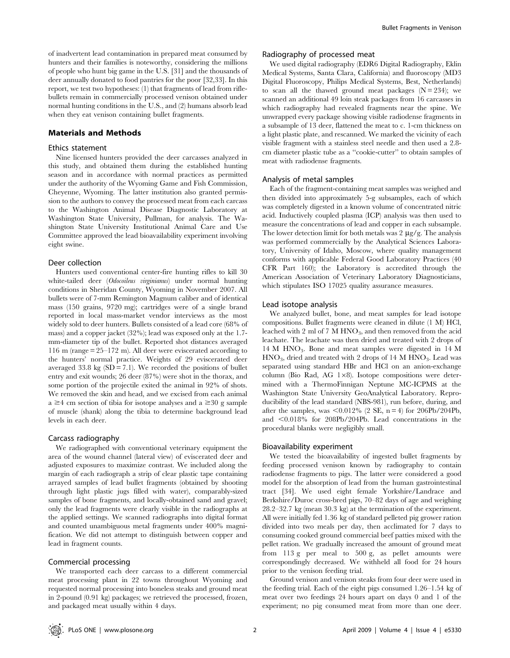of inadvertent lead contamination in prepared meat consumed by hunters and their families is noteworthy, considering the millions of people who hunt big game in the U.S. [31] and the thousands of deer annually donated to food pantries for the poor [32,33]. In this report, we test two hypotheses: (1) that fragments of lead from riflebullets remain in commercially processed venison obtained under normal hunting conditions in the U.S., and (2) humans absorb lead when they eat venison containing bullet fragments.

#### Materials and Methods

#### Ethics statement

Nine licensed hunters provided the deer carcasses analyzed in this study, and obtained them during the established hunting season and in accordance with normal practices as permitted under the authority of the Wyoming Game and Fish Commission, Cheyenne, Wyoming. The latter institution also granted permission to the authors to convey the processed meat from each carcass to the Washington Animal Disease Diagnostic Laboratory at Washington State University, Pullman, for analysis. The Washington State University Institutional Animal Care and Use Committee approved the lead bioavailability experiment involving eight swine.

#### Deer collection

Hunters used conventional center-fire hunting rifles to kill 30 white-tailed deer (Odocoileus virginianus) under normal hunting conditions in Sheridan County, Wyoming in November 2007. All bullets were of 7-mm Remington Magnum caliber and of identical mass (150 grains, 9720 mg); cartridges were of a single brand reported in local mass-market vendor interviews as the most widely sold to deer hunters. Bullets consisted of a lead core (68% of mass) and a copper jacket (32%); lead was exposed only at the 1.7 mm-diameter tip of the bullet. Reported shot distances averaged 116 m (range = 25–172 m). All deer were eviscerated according to the hunters' normal practice. Weights of 29 eviscerated deer averaged 33.8 kg  $(SD = 7.1)$ . We recorded the positions of bullet entry and exit wounds; 26 deer (87%) were shot in the thorax, and some portion of the projectile exited the animal in 92% of shots. We removed the skin and head, and we excised from each animal  $a \geq 4$  cm section of tibia for isotope analyses and  $a \geq 30$  g sample of muscle (shank) along the tibia to determine background lead levels in each deer.

#### Carcass radiography

We radiographed with conventional veterinary equipment the area of the wound channel (lateral view) of eviscerated deer and adjusted exposures to maximize contrast. We included along the margin of each radiograph a strip of clear plastic tape containing arrayed samples of lead bullet fragments (obtained by shooting through light plastic jugs filled with water), comparably-sized samples of bone fragments, and locally-obtained sand and gravel; only the lead fragments were clearly visible in the radiographs at the applied settings. We scanned radiographs into digital format and counted unambiguous metal fragments under 400% magnification. We did not attempt to distinguish between copper and lead in fragment counts.

#### Commercial processing

We transported each deer carcass to a different commercial meat processing plant in 22 towns throughout Wyoming and requested normal processing into boneless steaks and ground meat in 2-pound (0.91 kg) packages; we retrieved the processed, frozen, and packaged meat usually within 4 days.

#### Radiography of processed meat

We used digital radiography (EDR6 Digital Radiography, Eklin Medical Systems, Santa Clara, California) and fluoroscopy (MD3 Digital Fluoroscopy, Philips Medical Systems, Best, Netherlands) to scan all the thawed ground meat packages  $(N = 234)$ ; we scanned an additional 49 loin steak packages from 16 carcasses in which radiography had revealed fragments near the spine. We unwrapped every package showing visible radiodense fragments in a subsample of 13 deer, flattened the meat to c. 1-cm thickness on a light plastic plate, and rescanned. We marked the vicinity of each visible fragment with a stainless steel needle and then used a 2.8 cm diameter plastic tube as a ''cookie-cutter'' to obtain samples of meat with radiodense fragments.

#### Analysis of metal samples

Each of the fragment-containing meat samples was weighed and then divided into approximately 5-g subsamples, each of which was completely digested in a known volume of concentrated nitric acid. Inductively coupled plasma (ICP) analysis was then used to measure the concentrations of lead and copper in each subsample. The lower detection limit for both metals was 2  $\mu$ g/g. The analysis was performed commercially by the Analytical Sciences Laboratory, University of Idaho, Moscow, where quality management conforms with applicable Federal Good Laboratory Practices (40 CFR Part 160); the Laboratory is accredited through the American Association of Veterinary Laboratory Diagnosticians, which stipulates ISO 17025 quality assurance measures.

#### Lead isotope analysis

We analyzed bullet, bone, and meat samples for lead isotope compositions. Bullet fragments were cleaned in dilute (1 M) HCl, leached with 2 ml of 7 M  $HNO<sub>3</sub>$ , and then removed from the acid leachate. The leachate was then dried and treated with 2 drops of 14 M HNO3. Bone and meat samples were digested in 14 M  $HNO<sub>3</sub>$ , dried and treated with 2 drops of 14 M  $HNO<sub>3</sub>$ . Lead was separated using standard HBr and HCl on an anion-exchange column (Bio Rad, AG 1×8). Isotope compositions were determined with a ThermoFinnigan Neptune MC-ICPMS at the Washington State University GeoAnalytical Laboratory. Reproducibility of the lead standard (NBS-981), run before, during, and after the samples, was  $\leq 0.012\%$  (2 SE, n = 4) for 206Pb/204Pb, and  $\leq 0.018\%$  for 208Pb/204Pb. Lead concentrations in the procedural blanks were negligibly small.

#### Bioavailability experiment

We tested the bioavailability of ingested bullet fragments by feeding processed venison known by radiography to contain radiodense fragments to pigs. The latter were considered a good model for the absorption of lead from the human gastrointestinal tract [34]. We used eight female Yorkshire/Landrace and Berkshire/Duroc cross-bred pigs, 70–82 days of age and weighing 28.2–32.7 kg (mean 30.3 kg) at the termination of the experiment. All were initially fed 1.36 kg of standard pelleted pig grower ration divided into two meals per day, then acclimated for 7 days to consuming cooked ground commercial beef patties mixed with the pellet ration. We gradually increased the amount of ground meat from 113 g per meal to 500 g, as pellet amounts were correspondingly decreased. We withheld all food for 24 hours prior to the venison feeding trial.

Ground venison and venison steaks from four deer were used in the feeding trial. Each of the eight pigs consumed 1.26–1.54 kg of meat over two feedings 24 hours apart on days 0 and 1 of the experiment; no pig consumed meat from more than one deer.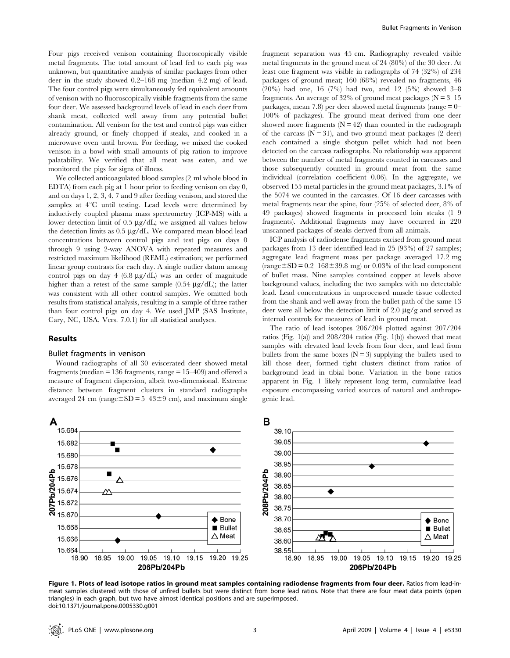Four pigs received venison containing fluoroscopically visible metal fragments. The total amount of lead fed to each pig was unknown, but quantitative analysis of similar packages from other deer in the study showed 0.2–168 mg (median 4.2 mg) of lead. The four control pigs were simultaneously fed equivalent amounts of venison with no fluoroscopically visible fragments from the same four deer. We assessed background levels of lead in each deer from shank meat, collected well away from any potential bullet contamination. All venison for the test and control pigs was either already ground, or finely chopped if steaks, and cooked in a microwave oven until brown. For feeding, we mixed the cooked venison in a bowl with small amounts of pig ration to improve palatability. We verified that all meat was eaten, and we monitored the pigs for signs of illness.

We collected anticoagulated blood samples (2 ml whole blood in EDTA) from each pig at 1 hour prior to feeding venison on day 0, and on days 1, 2, 3, 4, 7 and 9 after feeding venison, and stored the samples at  $4^{\circ}$ C until testing. Lead levels were determined by inductively coupled plasma mass spectrometry (ICP-MS) with a lower detection limit of 0.5  $\mu$ g/dL; we assigned all values below the detection limits as  $0.5 \mu g/dL$ . We compared mean blood lead concentrations between control pigs and test pigs on days 0 through 9 using 2-way ANOVA with repeated measures and restricted maximum likelihood (REML) estimation; we performed linear group contrasts for each day. A single outlier datum among control pigs on day 4 (6.8  $\mu$ g/dL) was an order of magnitude higher than a retest of the same sample  $(0.54 \text{ µg}/\text{dL})$ ; the latter was consistent with all other control samples. We omitted both results from statistical analysis, resulting in a sample of three rather than four control pigs on day 4. We used JMP (SAS Institute, Cary, NC, USA, Vers. 7.0.1) for all statistical analyses.

#### Results

#### Bullet fragments in venison

Wound radiographs of all 30 eviscerated deer showed metal fragments (median  $= 136$  fragments, range  $= 15 - 409$ ) and offered a measure of fragment dispersion, albeit two-dimensional. Extreme distance between fragment clusters in standard radiographs averaged 24 cm (range $\pm SD = 5-43\pm9$  cm), and maximum single

fragment separation was 45 cm. Radiography revealed visible metal fragments in the ground meat of 24 (80%) of the 30 deer. At least one fragment was visible in radiographs of 74 (32%) of 234 packages of ground meat; 160 (68%) revealed no fragments, 46 (20%) had one, 16 (7%) had two, and 12 (5%) showed 3–8 fragments. An average of 32% of ground meat packages ( $N = 3-15$ ) packages, mean 7.8) per deer showed metal fragments (range = 0– 100% of packages). The ground meat derived from one deer showed more fragments  $(N = 42)$  than counted in the radiograph of the carcass  $(N = 31)$ , and two ground meat packages (2 deer) each contained a single shotgun pellet which had not been detected on the carcass radiographs. No relationship was apparent between the number of metal fragments counted in carcasses and those subsequently counted in ground meat from the same individual (correlation coefficient 0.06). In the aggregate, we observed 155 metal particles in the ground meat packages, 3.1% of the 5074 we counted in the carcasses. Of 16 deer carcasses with metal fragments near the spine, four (25% of selected deer, 8% of 49 packages) showed fragments in processed loin steaks (1–9 fragments). Additional fragments may have occurred in 220 unscanned packages of steaks derived from all animals.

ICP analysis of radiodense fragments excised from ground meat packages from 13 deer identified lead in 25 (93%) of 27 samples; aggregate lead fragment mass per package averaged 17.2 mg  $(range \pm SD = 0.2-168 \pm 39.8$  mg) or 0.03% of the lead component of bullet mass. Nine samples contained copper at levels above background values, including the two samples with no detectable lead. Lead concentrations in unprocessed muscle tissue collected from the shank and well away from the bullet path of the same 13 deer were all below the detection limit of 2.0  $\mu$ g/g and served as internal controls for measures of lead in ground meat.

The ratio of lead isotopes 206/204 plotted against 207/204 ratios (Fig. 1(a)) and  $208/204$  ratios (Fig. 1(b)) showed that meat samples with elevated lead levels from four deer, and lead from bullets from the same boxes  $(N = 3)$  supplying the bullets used to kill those deer, formed tight clusters distinct from ratios of background lead in tibial bone. Variation in the bone ratios apparent in Fig. 1 likely represent long term, cumulative lead exposure encompassing varied sources of natural and anthropogenic lead.



Figure 1. Plots of lead isotope ratios in ground meat samples containing radiodense fragments from four deer. Ratios from lead-inmeat samples clustered with those of unfired bullets but were distinct from bone lead ratios. Note that there are four meat data points (open triangles) in each graph, but two have almost identical positions and are superimposed. doi:10.1371/journal.pone.0005330.g001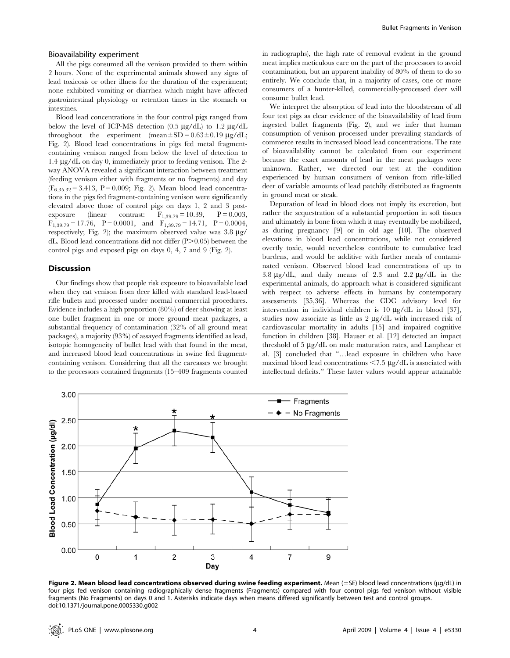#### Bioavailability experiment

All the pigs consumed all the venison provided to them within 2 hours. None of the experimental animals showed any signs of lead toxicosis or other illness for the duration of the experiment; none exhibited vomiting or diarrhea which might have affected gastrointestinal physiology or retention times in the stomach or intestines.

Blood lead concentrations in the four control pigs ranged from below the level of ICP-MS detection  $(0.5 \ \mu g/dL)$  to 1.2  $\mu g/dL$ throughout the experiment (mean $\pm$ SD = 0.63 $\pm$ 0.19  $\mu$ g/dL; Fig. 2). Blood lead concentrations in pigs fed metal fragmentcontaining venison ranged from below the level of detection to 1.4 mg/dL on day 0, immediately prior to feeding venison. The 2 way ANOVA revealed a significant interaction between treatment (feeding venison either with fragments or no fragments) and day  $(F_{6,35,32}= 3.413, P= 0.009; Fig. 2)$ . Mean blood lead concentrations in the pigs fed fragment-containing venison were significantly elevated above those of control pigs on days 1, 2 and 3 postexposure (linear contrast:  $F_{1,39,79} = 10.39, P = 0.003,$  $F_{1,39.79} = 17.76$ ,  $P = 0.0001$ , and  $F_{1,39.79} = 14.71$ ,  $P = 0.0004$ , respectively; Fig. 2); the maximum observed value was  $3.8 \mu$ g/ dL. Blood lead concentrations did not differ  $(P>0.05)$  between the control pigs and exposed pigs on days 0, 4, 7 and 9 (Fig. 2).

#### Discussion

Our findings show that people risk exposure to bioavailable lead when they eat venison from deer killed with standard lead-based rifle bullets and processed under normal commercial procedures. Evidence includes a high proportion (80%) of deer showing at least one bullet fragment in one or more ground meat packages, a substantial frequency of contamination (32% of all ground meat packages), a majority (93%) of assayed fragments identified as lead, isotopic homogeneity of bullet lead with that found in the meat, and increased blood lead concentrations in swine fed fragmentcontaining venison. Considering that all the carcasses we brought to the processors contained fragments (15–409 fragments counted in radiographs), the high rate of removal evident in the ground meat implies meticulous care on the part of the processors to avoid contamination, but an apparent inability of 80% of them to do so entirely. We conclude that, in a majority of cases, one or more consumers of a hunter-killed, commercially-processed deer will consume bullet lead.

We interpret the absorption of lead into the bloodstream of all four test pigs as clear evidence of the bioavailability of lead from ingested bullet fragments (Fig. 2), and we infer that human consumption of venison processed under prevailing standards of commerce results in increased blood lead concentrations. The rate of bioavailability cannot be calculated from our experiment because the exact amounts of lead in the meat packages were unknown. Rather, we directed our test at the condition experienced by human consumers of venison from rifle-killed deer of variable amounts of lead patchily distributed as fragments in ground meat or steak.

Depuration of lead in blood does not imply its excretion, but rather the sequestration of a substantial proportion in soft tissues and ultimately in bone from which it may eventually be mobilized, as during pregnancy [9] or in old age [10]. The observed elevations in blood lead concentrations, while not considered overtly toxic, would nevertheless contribute to cumulative lead burdens, and would be additive with further meals of contaminated venison. Observed blood lead concentrations of up to 3.8  $\mu$ g/dL, and daily means of 2.3 and 2.2  $\mu$ g/dL in the experimental animals, do approach what is considered significant with respect to adverse effects in humans by contemporary assessments [35,36]. Whereas the CDC advisory level for intervention in individual children is  $10 \mu g/dL$  in blood [37], studies now associate as little as  $2 \mu g/dL$  with increased risk of cardiovascular mortality in adults [15] and impaired cognitive function in children [38]. Hauser et al. [12] detected an impact threshold of 5 µg/dL on male maturation rates, and Lanphear et al. [3] concluded that ''…lead exposure in children who have maximal blood lead concentrations  $\leq$  7.5  $\mu$ g/dL is associated with intellectual deficits.'' These latter values would appear attainable



Figure 2. Mean blood lead concentrations observed during swine feeding experiment. Mean  $(\pm S)$  blood lead concentrations ( $\mu$ g/dL) in four pigs fed venison containing radiographically dense fragments (Fragments) compared with four control pigs fed venison without visible fragments (No Fragments) on days 0 and 1. Asterisks indicate days when means differed significantly between test and control groups. doi:10.1371/journal.pone.0005330.g002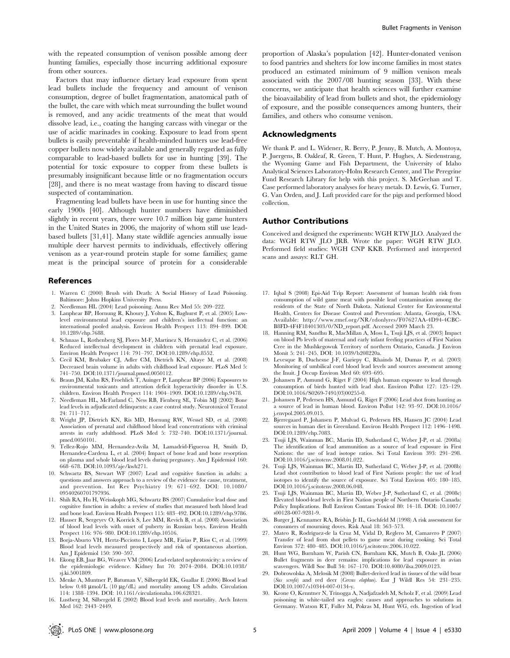with the repeated consumption of venison possible among deer hunting families, especially those incurring additional exposure from other sources.

Factors that may influence dietary lead exposure from spent lead bullets include the frequency and amount of venison consumption, degree of bullet fragmentation, anatomical path of the bullet, the care with which meat surrounding the bullet wound is removed, and any acidic treatments of the meat that would dissolve lead, i.e., coating the hanging carcass with vinegar or the use of acidic marinades in cooking. Exposure to lead from spent bullets is easily preventable if health-minded hunters use lead-free copper bullets now widely available and generally regarded as fully comparable to lead-based bullets for use in hunting [39]. The potential for toxic exposure to copper from these bullets is presumably insignificant because little or no fragmentation occurs [28], and there is no meat wastage from having to discard tissue suspected of contamination.

Fragmenting lead bullets have been in use for hunting since the early 1900s [40]. Although hunter numbers have diminished slightly in recent years, there were 10.7 million big game hunters in the United States in 2006, the majority of whom still use leadbased bullets [31,41]. Many state wildlife agencies annually issue multiple deer harvest permits to individuals, effectively offering venison as a year-round protein staple for some families; game meat is the principal source of protein for a considerable

#### References

- 1. Warren C (2000) Brush with Death: A Social History of Lead Poisoning. Baltimore: Johns Hopkins University Press.
- 2. Needleman HL (2004) Lead poisoning. Annu Rev Med 55: 209–222.
- Lanphear BP, Hornung R, Khoury J, Yolton K, Baghurst P, et al. (2005) Lowlevel environmental lead exposure and children's intellectual function: an international pooled analysis. Environ Health Perspect 113: 894–899. DOI: 10.1289/ehp.7688.
- 4. Schnaas L, Rothenberg SJ, Flores M-F, Martinez S, Hernandez C, et al. (2006) Reduced intellectual development in children with prenatal lead exposure. Environ Health Perspect 114: 791–797. DOI:10.1289/ehp.8552.
- 5. Cecil KM, Brubaker CJ, Adler CM, Dietrich KN, Altaye M, et al. (2008) Decreased brain volume in adults with childhood lead exposure. PLoS Med 5: 741–750. DOI:10.1371/journal.pmed.0050112.
- 6. Braun JM, Kahn RS, Froehlich T, Auinger P, Lanphear BP (2006) Exposures to environmental toxicants and attention deficit hyperactivity disorder in U.S. children. Environ Health Perspect 114: 1904–1909. DOI:10.1289/ehp.9478.
- 7. Needleman HL, McFarland C, Ness RB, Fienberg SE, Tobin MJ (2002) Bone lead levels in adjudicated delinquents: a case control study. Neurotoxicol Teratol 24: 711–717.
- 8. Wright JP, Dietrich KN, Ris MD, Hornung RW, Wessel SD, et al. (2008) Association of prenatal and childhood blood lead concentrations with criminal arrests in early adulthood. PLoS Med 5: 732–740. DOI:10.1371/journal. pmed.0050101.
- 9. Tellez-Rojo MM, Hernandez-Avila M, Lamadrid-Figueroa H, Smith D, Hernandez-Cardena L, et al. (2004) Impact of bone lead and bone resorption on plasma and whole blood lead levels during pregnancy. Am J Epidemiol 160: 668–678. DOI:10.1093/aje/kwh271.
- 10. Schwartz BS, Stewart WF (2007) Lead and cognitive function in adults: a questions and answers approach to a review of the evidence for cause, treatment, and prevention. Int Rev Psychiatry 19: 671–692. DOI: 10.1080/ 09540260701797936.
- 11. Shih RA, Hu H, Weisskoph MG, Schwartz BS (2007) Cumulative lead dose and cognitive function in adults: a review of studies that measured both blood lead and bone lead. Environ Health Perspect 115: 483–492. DOI:10.1289/ehp.9786.
- 12. Hauser R, Sergeyev O, Korrick S, Lee MM, Revich B, et al. (2008) Association of blood lead levels with onset of puberty in Russian boys. Environ Health Perspect 116: 976–980. DOI:10.1289/ehp.10516.
- 13. Borja-Aburto VH, Hertz-Picciotto I, Lopez MR, Farias P, Rios C, et al. (1999) Blood lead levels measured prospectively and risk of spontaneous abortion. Am J Epidemiol 150: 590–597.
- 14. Ekong EB, Jaar BG, Weaver VM (2006) Lead-related nephrotoxicity: a review of the epidemiologic evidence. Kidney Int 70: 2074–2084. DOI:10.1038/ sj.ki.5001809.
- 15. Menke A, Muntner P, Batuman V, Silbergeld EK, Guallar E (2006) Blood lead below 0.48  $\upmu \text{mol/L}$  (10  $\upmu \text{g/dL}$  ) and mortality among US adults. Circulation 114: 1388–1394. DOI: 10.1161/circulationaha.106.628321.
- 16. Lustberg M, Silbergeld E (2002) Blood lead levels and mortality. Arch Intern Med 162: 2443–2449.

proportion of Alaska's population [42]. Hunter-donated venison to food pantries and shelters for low income families in most states produced an estimated minimum of 9 million venison meals associated with the 2007/08 hunting season [33]. With these concerns, we anticipate that health sciences will further examine the bioavailability of lead from bullets and shot, the epidemiology of exposure, and the possible consequences among hunters, their families, and others who consume venison.

#### Acknowledgments

We thank P. and L. Widener, R. Berry, P. Jenny, B. Mutch, A. Montoya, P. Juergens, B. Oakleaf, R. Green, T. Hunt, P. Hughes, A. Siedenstrang, the Wyoming Game and Fish Department, the University of Idaho Analytical Sciences Laboratory-Holm Research Center, and The Peregrine Fund Research Library for help with this project. S. McGeehan and T. Case performed laboratory analyses for heavy metals. D. Lewis, G. Turner, G. Van Orden, and J. Luft provided care for the pigs and performed blood collection.

#### Author Contributions

Conceived and designed the experiments: WGH RTW JLO. Analyzed the data: WGH RTW JLO JRB. Wrote the paper: WGH RTW JLO. Performed field studies: WGH CNP KKB. Performed and interpreted scans and assays: RLT GH.

- 17. Iqbal S (2008) Epi-Aid Trip Report: Assessment of human health risk from consumption of wild game meat with possible lead contamination among the residents of the State of North Dakota. National Center for Environmental Health, Centers for Disease Control and Prevention: Atlanta, Georgia, USA. Available: http://www.rmef.org/NR/rdonlyres/F07627AA-4D94-4CBC-B8FD-4F4F18401303/0/ND\_report.pdf. Accessed 2009 March 23.
- 18. Hanning RM, Sandhu R, MacMillan A, Moss L, Tsuji LJS, et al. (2003) Impact on blood Pb levels of maternal and early infant feeding practices of First Nation Cree in the Mushkegowuk Territory of northern Ontario, Canada. J Environ Monit 5: 241-245. DOI: 10.1039/b208220a.
- 19. Levesque B, Duchesne J-F, Gariepy C, Rhainds M, Dumas P, et al. (2003) Monitoring of umbilical cord blood lead levels and sources assessment among the Inuit. J Occup Environ Med 60: 693–695.
- 20. Johansen P, Asmund G, Riget F (2004) High human exposure to lead through consumption of birds hunted with lead shot. Environ Pollut 127: 125–129. DOI:10.1016/S0269-7491(03)00255-0.
- 21. Johansen P, Pedersen HS, Asmund G, Riget F (2006) Lead shot from hunting as a source of lead in human blood. Environ Pollut 142: 93–97. DOI:10.1016/ j.envpol.2005.09.015.
- 22. Bjerregaard P, Johansen P, Mulvad G, Pedersen HS, Hansen JC (2004) Lead sources in human diet in Greenland. Environ Health Perspect 112: 1496–1498. DOI:10.1289/ehp.7083.
- 23. Tsuji LJS, Wainman BC, Martin ID, Sutherland C, Weber J-P, et al. (2008a) The identification of lead ammunition as a source of lead exposure in First Nations: the use of lead isotope ratios. Sci Total Environ 393: 291–298. DOI:10.1016/j.scitotenv.2008.01.022.
- 24. Tsuji LJS, Wainman BC, Martin ID, Sutherland C, Weber J-P, et al. (2008b) Lead shot contribution to blood lead of First Nations people: the use of lead isotopes to identify the source of exposure. Sci Total Environ 405: 180–185. DOI:10.1016/j.scitotenv.2008.06.048.
- 25. Tsuji LJS, Wainman BC, Martin ID, Weber J-P, Sutherland C, et al. (2008c) Elevated blood-lead levels in First Nation people of Northern Ontario Canada: Policy Implications. Bull Environ Contam Toxicol 80: 14–18. DOI: 10.1007/ s00128-007-9281-9.
- 26. Burger J, Kennamer RA, Brisbin Jr IL, Gochfeld M (1998) A risk assessment for consumers of mourning doves. Risk Anal 18: 563–573.
- 27. Mateo R, Rodríguez-de la Cruz M, Vidal D, Reglero M, Camarero P (2007) Transfer of lead from shot pellets to game meat during cooking. Sci Total Environ 372: 480–485. DOI:10.1016/j.scitotenv.2006.10.022.
- 28. Hunt WG, Burnham W, Parish CN, Burnham KK, Mutch B, Oaks JL (2006) Bullet fragments in deer remains: implications for lead exposure in avian scavengers. Wildl Soc Bull 34: 167–170. DOI:10.4080/ilsa.2009.0123.
- 29. Dobrowolska A, Melosik M (2008) Bullet-derived lead in tissues of the wild boar (Sus scrofa) and red deer (Cervus elaphus). Eur J Wildl Res 54: 231–235. DOI:10.1007/s10344-007-0134-y.
- 30. Krone O, Kenntner N, Trinogga A, Nadjafzadeh M, Scholz F, et al. (2009) Lead poisoning in white-tailed sea eagles: causes and approaches to solutions in Germany. Watson RT, Fuller M, Pokras M, Hunt WG, eds. Ingestion of lead